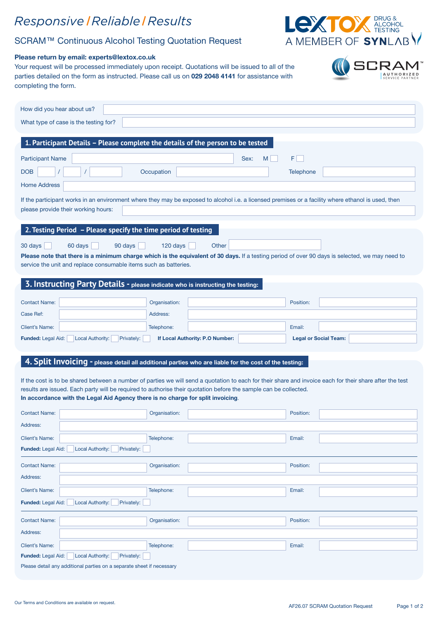## Responsive | Reliable | Result

## SCRAM™ Continuous Alcohol Testing Quotation Request

### Please return by email: experts@lextox.co.uk

Your request will be processed immediately upon receipt. Quotations will be issued to all of the parties detailed on the form as instructed. Please call us on 029 2048 4141 for assistance with completing the form.

| How did you hear about us?                                                                                                                                                                |                                 |                                                                                                                                                |  |  |  |  |
|-------------------------------------------------------------------------------------------------------------------------------------------------------------------------------------------|---------------------------------|------------------------------------------------------------------------------------------------------------------------------------------------|--|--|--|--|
| What type of case is the testing for?                                                                                                                                                     |                                 |                                                                                                                                                |  |  |  |  |
|                                                                                                                                                                                           |                                 |                                                                                                                                                |  |  |  |  |
| 1. Participant Details - Please complete the details of the person to be tested                                                                                                           |                                 |                                                                                                                                                |  |  |  |  |
| <b>Participant Name</b>                                                                                                                                                                   | M<br>Sex:                       | FI.                                                                                                                                            |  |  |  |  |
| <b>DOB</b>                                                                                                                                                                                | Occupation                      | Telephone                                                                                                                                      |  |  |  |  |
| <b>Home Address</b>                                                                                                                                                                       |                                 |                                                                                                                                                |  |  |  |  |
| If the participant works in an environment where they may be exposed to alcohol i.e. a licensed premises or a facility where ethanol is used, then<br>please provide their working hours: |                                 |                                                                                                                                                |  |  |  |  |
| 2. Testing Period - Please specify the time period of testing                                                                                                                             |                                 |                                                                                                                                                |  |  |  |  |
| 60 days<br>30 days<br>90 days                                                                                                                                                             | 120 days<br>Other               |                                                                                                                                                |  |  |  |  |
|                                                                                                                                                                                           |                                 | Please note that there is a minimum charge which is the equivalent of 30 days. If a testing period of over 90 days is selected, we may need to |  |  |  |  |
| service the unit and replace consumable items such as batteries.                                                                                                                          |                                 |                                                                                                                                                |  |  |  |  |
| 3. Instructing Party Details - please indicate who is instructing the testing:                                                                                                            |                                 |                                                                                                                                                |  |  |  |  |
|                                                                                                                                                                                           |                                 |                                                                                                                                                |  |  |  |  |
| <b>Contact Name:</b>                                                                                                                                                                      | Organisation:                   | Position:                                                                                                                                      |  |  |  |  |
| Case Ref:                                                                                                                                                                                 | Address:                        |                                                                                                                                                |  |  |  |  |
| <b>Client's Name:</b>                                                                                                                                                                     | Telephone:                      | Email:                                                                                                                                         |  |  |  |  |
| Funded: Legal Aid:<br><b>Local Authority:</b><br>Privately:                                                                                                                               | If Local Authority: P.O Number: | <b>Legal or Social Team:</b>                                                                                                                   |  |  |  |  |
|                                                                                                                                                                                           |                                 |                                                                                                                                                |  |  |  |  |
| 4. Split Invoicing - please detail all additional parties who are liable for the cost of the testing:                                                                                     |                                 |                                                                                                                                                |  |  |  |  |
| If the cost is to be shared between a number of parties we will send a quotation to each for their share and invoice each for their share after the test                                  |                                 |                                                                                                                                                |  |  |  |  |
| results are issued. Each party will be required to authorise their quotation before the sample can be collected.                                                                          |                                 |                                                                                                                                                |  |  |  |  |

#### In accordance with the Legal Aid Agency there is no charge for split invoicing.

| <b>Contact Name:</b>                                                  | Organisation: |  | Position: |  |  |  |
|-----------------------------------------------------------------------|---------------|--|-----------|--|--|--|
| Address:                                                              |               |  |           |  |  |  |
| <b>Client's Name:</b>                                                 | Telephone:    |  | Email:    |  |  |  |
| Funded: Legal Aid: Local Authority:<br>Privately:                     |               |  |           |  |  |  |
| <b>Contact Name:</b>                                                  | Organisation: |  | Position: |  |  |  |
| Address:                                                              |               |  |           |  |  |  |
| <b>Client's Name:</b>                                                 | Telephone:    |  | Email:    |  |  |  |
| Local Authority:<br><b>Funded: Legal Aid:</b><br>Privately:           |               |  |           |  |  |  |
| <b>Contact Name:</b>                                                  | Organisation: |  | Position: |  |  |  |
| Address:                                                              |               |  |           |  |  |  |
| <b>Client's Name:</b>                                                 | Telephone:    |  | Email:    |  |  |  |
| <b>Local Authority:</b><br><b>Funded:</b> Legal Aid:<br>Privately:    |               |  |           |  |  |  |
| Please detail any additional parties on a separate sheet if necessary |               |  |           |  |  |  |



| ์<br>S         | <b>LEXTOX</b> BRUG & ALCOHOL<br>A MEMBER OF SYNLABY |
|----------------|-----------------------------------------------------|
| tation Request |                                                     |